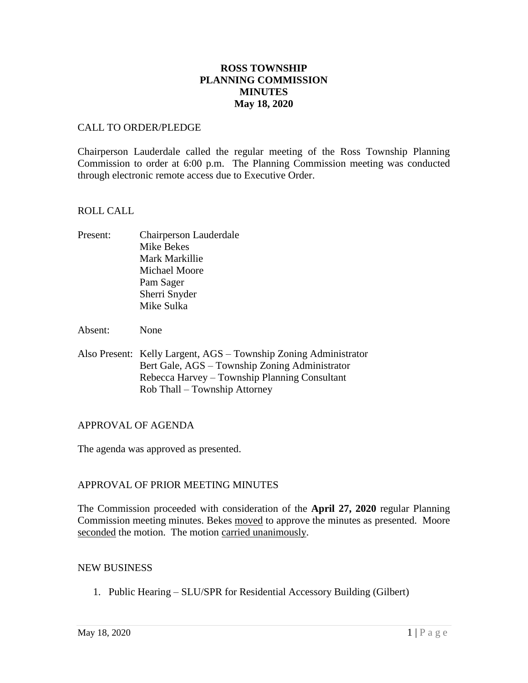# **ROSS TOWNSHIP PLANNING COMMISSION MINUTES May 18, 2020**

## CALL TO ORDER/PLEDGE

Chairperson Lauderdale called the regular meeting of the Ross Township Planning Commission to order at 6:00 p.m. The Planning Commission meeting was conducted through electronic remote access due to Executive Order.

## ROLL CALL

Present: Chairperson Lauderdale Mike Bekes Mark Markillie Michael Moore Pam Sager Sherri Snyder Mike Sulka

Absent: None

Also Present: Kelly Largent, AGS – Township Zoning Administrator Bert Gale, AGS – Township Zoning Administrator Rebecca Harvey – Township Planning Consultant Rob Thall – Township Attorney

# APPROVAL OF AGENDA

The agenda was approved as presented.

# APPROVAL OF PRIOR MEETING MINUTES

The Commission proceeded with consideration of the **April 27, 2020** regular Planning Commission meeting minutes. Bekes moved to approve the minutes as presented. Moore seconded the motion. The motion carried unanimously.

#### NEW BUSINESS

1. Public Hearing – SLU/SPR for Residential Accessory Building (Gilbert)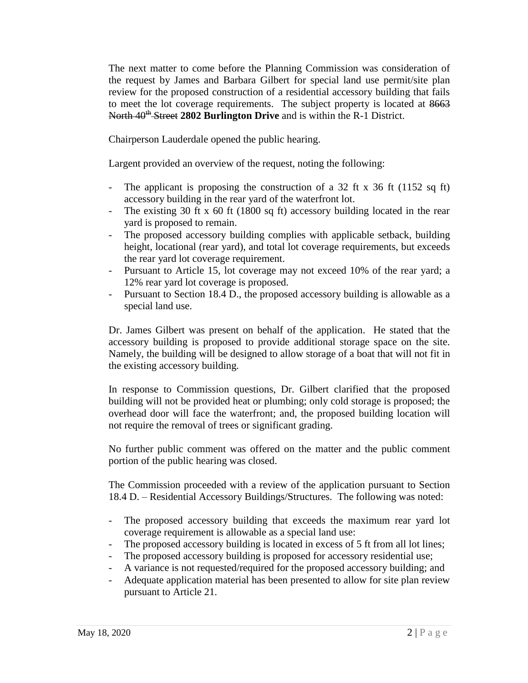The next matter to come before the Planning Commission was consideration of the request by James and Barbara Gilbert for special land use permit/site plan review for the proposed construction of a residential accessory building that fails to meet the lot coverage requirements. The subject property is located at 8663 North 40<sup>th</sup> Street 2802 Burlington Drive and is within the R-1 District.

Chairperson Lauderdale opened the public hearing.

Largent provided an overview of the request, noting the following:

- The applicant is proposing the construction of a 32 ft x 36 ft (1152 sq ft) accessory building in the rear yard of the waterfront lot.
- The existing 30 ft x 60 ft (1800 sq ft) accessory building located in the rear yard is proposed to remain.
- The proposed accessory building complies with applicable setback, building height, locational (rear yard), and total lot coverage requirements, but exceeds the rear yard lot coverage requirement.
- Pursuant to Article 15, lot coverage may not exceed 10% of the rear yard; a 12% rear yard lot coverage is proposed.
- Pursuant to Section 18.4 D., the proposed accessory building is allowable as a special land use.

Dr. James Gilbert was present on behalf of the application. He stated that the accessory building is proposed to provide additional storage space on the site. Namely, the building will be designed to allow storage of a boat that will not fit in the existing accessory building.

In response to Commission questions, Dr. Gilbert clarified that the proposed building will not be provided heat or plumbing; only cold storage is proposed; the overhead door will face the waterfront; and, the proposed building location will not require the removal of trees or significant grading.

No further public comment was offered on the matter and the public comment portion of the public hearing was closed.

The Commission proceeded with a review of the application pursuant to Section 18.4 D. – Residential Accessory Buildings/Structures. The following was noted:

- The proposed accessory building that exceeds the maximum rear yard lot coverage requirement is allowable as a special land use:
- The proposed accessory building is located in excess of 5 ft from all lot lines;
- The proposed accessory building is proposed for accessory residential use;
- A variance is not requested/required for the proposed accessory building; and
- Adequate application material has been presented to allow for site plan review pursuant to Article 21.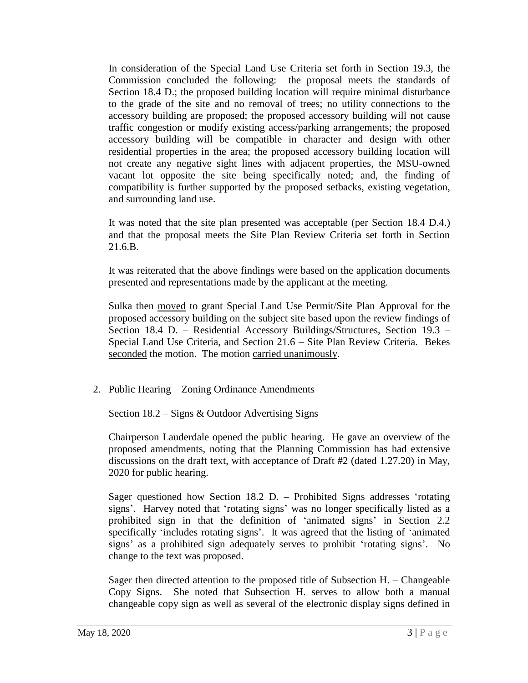In consideration of the Special Land Use Criteria set forth in Section 19.3, the Commission concluded the following: the proposal meets the standards of Section 18.4 D.; the proposed building location will require minimal disturbance to the grade of the site and no removal of trees; no utility connections to the accessory building are proposed; the proposed accessory building will not cause traffic congestion or modify existing access/parking arrangements; the proposed accessory building will be compatible in character and design with other residential properties in the area; the proposed accessory building location will not create any negative sight lines with adjacent properties, the MSU-owned vacant lot opposite the site being specifically noted; and, the finding of compatibility is further supported by the proposed setbacks, existing vegetation, and surrounding land use.

It was noted that the site plan presented was acceptable (per Section 18.4 D.4.) and that the proposal meets the Site Plan Review Criteria set forth in Section 21.6.B.

It was reiterated that the above findings were based on the application documents presented and representations made by the applicant at the meeting.

Sulka then moved to grant Special Land Use Permit/Site Plan Approval for the proposed accessory building on the subject site based upon the review findings of Section 18.4 D. – Residential Accessory Buildings/Structures, Section 19.3 – Special Land Use Criteria, and Section 21.6 – Site Plan Review Criteria. Bekes seconded the motion. The motion carried unanimously.

2. Public Hearing – Zoning Ordinance Amendments

Section 18.2 – Signs & Outdoor Advertising Signs

Chairperson Lauderdale opened the public hearing. He gave an overview of the proposed amendments, noting that the Planning Commission has had extensive discussions on the draft text, with acceptance of Draft #2 (dated 1.27.20) in May, 2020 for public hearing.

Sager questioned how Section 18.2 D. – Prohibited Signs addresses 'rotating signs'. Harvey noted that 'rotating signs' was no longer specifically listed as a prohibited sign in that the definition of 'animated signs' in Section 2.2 specifically 'includes rotating signs'. It was agreed that the listing of 'animated signs' as a prohibited sign adequately serves to prohibit 'rotating signs'. No change to the text was proposed.

Sager then directed attention to the proposed title of Subsection H. – Changeable Copy Signs. She noted that Subsection H. serves to allow both a manual changeable copy sign as well as several of the electronic display signs defined in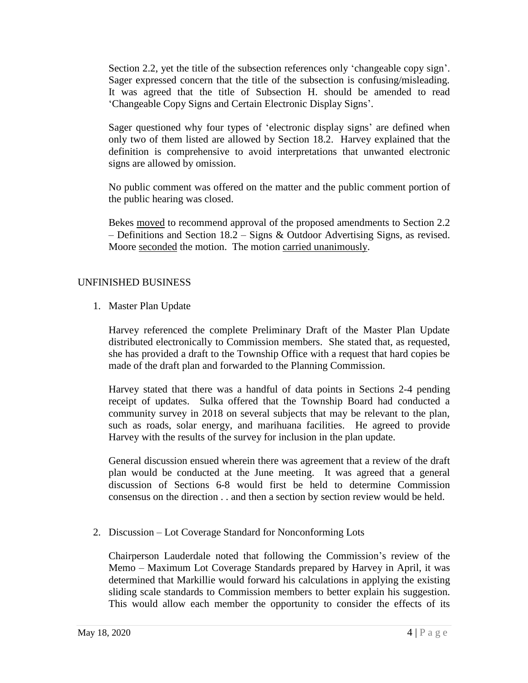Section 2.2, yet the title of the subsection references only 'changeable copy sign'. Sager expressed concern that the title of the subsection is confusing/misleading. It was agreed that the title of Subsection H. should be amended to read 'Changeable Copy Signs and Certain Electronic Display Signs'.

Sager questioned why four types of 'electronic display signs' are defined when only two of them listed are allowed by Section 18.2. Harvey explained that the definition is comprehensive to avoid interpretations that unwanted electronic signs are allowed by omission.

No public comment was offered on the matter and the public comment portion of the public hearing was closed.

Bekes moved to recommend approval of the proposed amendments to Section 2.2 – Definitions and Section 18.2 – Signs & Outdoor Advertising Signs, as revised. Moore seconded the motion. The motion carried unanimously.

# UNFINISHED BUSINESS

1. Master Plan Update

Harvey referenced the complete Preliminary Draft of the Master Plan Update distributed electronically to Commission members. She stated that, as requested, she has provided a draft to the Township Office with a request that hard copies be made of the draft plan and forwarded to the Planning Commission.

Harvey stated that there was a handful of data points in Sections 2-4 pending receipt of updates. Sulka offered that the Township Board had conducted a community survey in 2018 on several subjects that may be relevant to the plan, such as roads, solar energy, and marihuana facilities. He agreed to provide Harvey with the results of the survey for inclusion in the plan update.

General discussion ensued wherein there was agreement that a review of the draft plan would be conducted at the June meeting. It was agreed that a general discussion of Sections 6-8 would first be held to determine Commission consensus on the direction . . and then a section by section review would be held.

2. Discussion – Lot Coverage Standard for Nonconforming Lots

Chairperson Lauderdale noted that following the Commission's review of the Memo – Maximum Lot Coverage Standards prepared by Harvey in April, it was determined that Markillie would forward his calculations in applying the existing sliding scale standards to Commission members to better explain his suggestion. This would allow each member the opportunity to consider the effects of its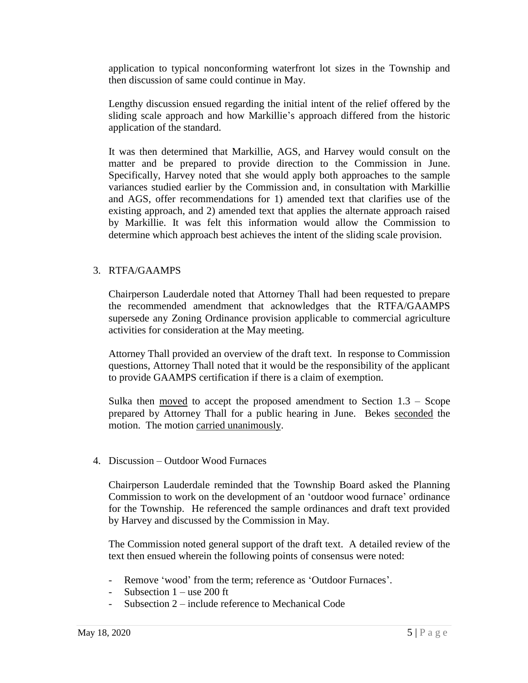application to typical nonconforming waterfront lot sizes in the Township and then discussion of same could continue in May.

Lengthy discussion ensued regarding the initial intent of the relief offered by the sliding scale approach and how Markillie's approach differed from the historic application of the standard.

It was then determined that Markillie, AGS, and Harvey would consult on the matter and be prepared to provide direction to the Commission in June. Specifically, Harvey noted that she would apply both approaches to the sample variances studied earlier by the Commission and, in consultation with Markillie and AGS, offer recommendations for 1) amended text that clarifies use of the existing approach, and 2) amended text that applies the alternate approach raised by Markillie. It was felt this information would allow the Commission to determine which approach best achieves the intent of the sliding scale provision.

# 3. RTFA/GAAMPS

Chairperson Lauderdale noted that Attorney Thall had been requested to prepare the recommended amendment that acknowledges that the RTFA/GAAMPS supersede any Zoning Ordinance provision applicable to commercial agriculture activities for consideration at the May meeting.

Attorney Thall provided an overview of the draft text. In response to Commission questions, Attorney Thall noted that it would be the responsibility of the applicant to provide GAAMPS certification if there is a claim of exemption.

Sulka then  $\frac{moved}{ }$  to accept the proposed amendment to Section  $1.3 -$  Scope prepared by Attorney Thall for a public hearing in June. Bekes seconded the motion. The motion carried unanimously.

4. Discussion – Outdoor Wood Furnaces

Chairperson Lauderdale reminded that the Township Board asked the Planning Commission to work on the development of an 'outdoor wood furnace' ordinance for the Township. He referenced the sample ordinances and draft text provided by Harvey and discussed by the Commission in May.

The Commission noted general support of the draft text. A detailed review of the text then ensued wherein the following points of consensus were noted:

- Remove 'wood' from the term; reference as 'Outdoor Furnaces'.
- Subsection  $1 -$ use 200 ft
- Subsection 2 include reference to Mechanical Code